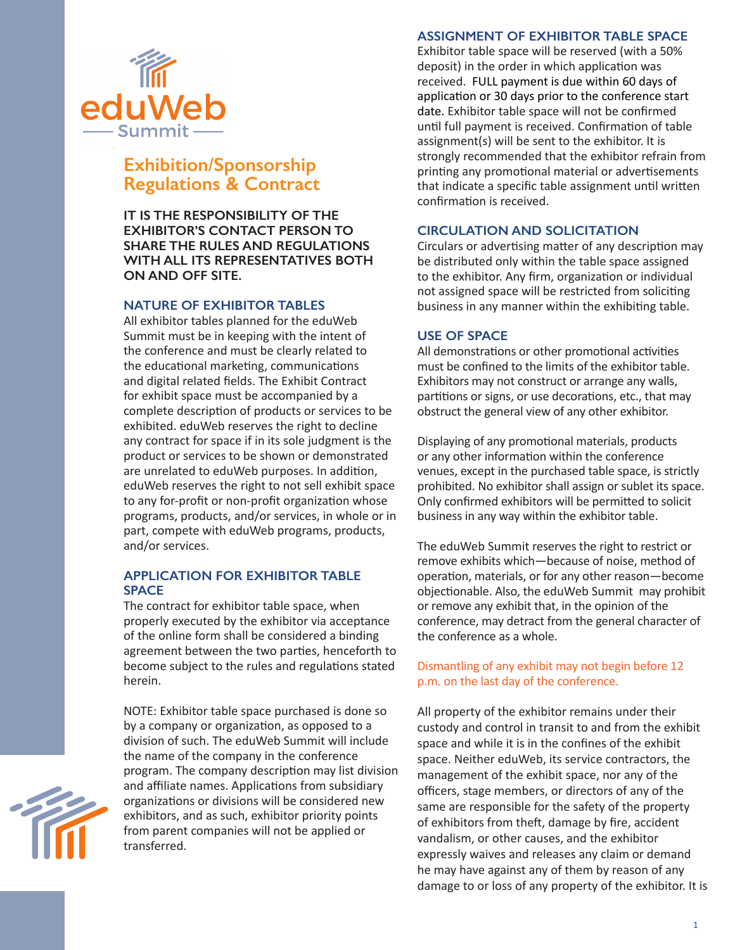

# **Exhibition/Sponsorship Regulations & Contract**

**IT IS THE RESPONSIBILITY OF THE EXHIBITOR'S CONTACT PERSON TO SHARE THE RULES AND REGULATIONS WITH ALL ITS REPRESENTATIVES BOTH ON AND OFF SITE.**

# **NATURE OF EXHIBITOR TABLES**

All exhibitor tables planned for the eduWeb Summit must be in keeping with the intent of the conference and must be clearly related to the educational marketing, communications and digital related fields. The Exhibit Contract for exhibit space must be accompanied by a complete description of products or services to be exhibited. eduWeb reserves the right to decline any contract for space if in its sole judgment is the product or services to be shown or demonstrated are unrelated to eduWeb purposes. In addition, eduWeb reserves the right to not sell exhibit space to any for-profit or non-profit organization whose programs, products, and/or services, in whole or in part, compete with eduWeb programs, products, and/or services.

## **APPLICATION FOR EXHIBITOR TABLE SPACE**

The contract for exhibitor table space, when properly executed by the exhibitor via acceptance of the online form shall be considered a binding agreement between the two parties, henceforth to become subject to the rules and regulations stated herein.

NOTE: Exhibitor table space purchased is done so by a company or organization, as opposed to a division of such. The eduWeb Summit will include the name of the company in the conference program. The company description may list division and affiliate names. Applications from subsidiary organizations or divisions will be considered new exhibitors, and as such, exhibitor priority points from parent companies will not be applied or transferred.

#### **ASSIGNMENT OF EXHIBITOR TABLE SPACE**

Exhibitor table space will be reserved (with a 50% deposit) in the order in which application was received. FULL payment is due within 60 days of application or 30 days prior to the conference start date. Exhibitor table space will not be confirmed until full payment is received. Confirmation of table assignment(s) will be sent to the exhibitor. It is strongly recommended that the exhibitor refrain from printing any promotional material or advertisements that indicate a specific table assignment until written confirmation is received.

## **CIRCULATION AND SOLICITATION**

Circulars or advertising matter of any description may be distributed only within the table space assigned to the exhibitor. Any firm, organization or individual not assigned space will be restricted from soliciting business in any manner within the exhibiting table.

#### **USE OF SPACE**

All demonstrations or other promotional activities must be confined to the limits of the exhibitor table. Exhibitors may not construct or arrange any walls, partitions or signs, or use decorations, etc., that may obstruct the general view of any other exhibitor.

Displaying of any promotional materials, products or any other information within the conference venues, except in the purchased table space, is strictly prohibited. No exhibitor shall assign or sublet its space. Only confirmed exhibitors will be permitted to solicit business in any way within the exhibitor table.

The eduWeb Summit reserves the right to restrict or remove exhibits which—because of noise, method of operation, materials, or for any other reason—become objectionable. Also, the eduWeb Summit may prohibit or remove any exhibit that, in the opinion of the conference, may detract from the general character of the conference as a whole.

#### Dismantling of any exhibit may not begin before 12 p.m. on the last day of the conference.

All property of the exhibitor remains under their custody and control in transit to and from the exhibit space and while it is in the confines of the exhibit space. Neither eduWeb, its service contractors, the management of the exhibit space, nor any of the officers, stage members, or directors of any of the same are responsible for the safety of the property of exhibitors from theft, damage by fire, accident vandalism, or other causes, and the exhibitor expressly waives and releases any claim or demand he may have against any of them by reason of any damage to or loss of any property of the exhibitor. It is

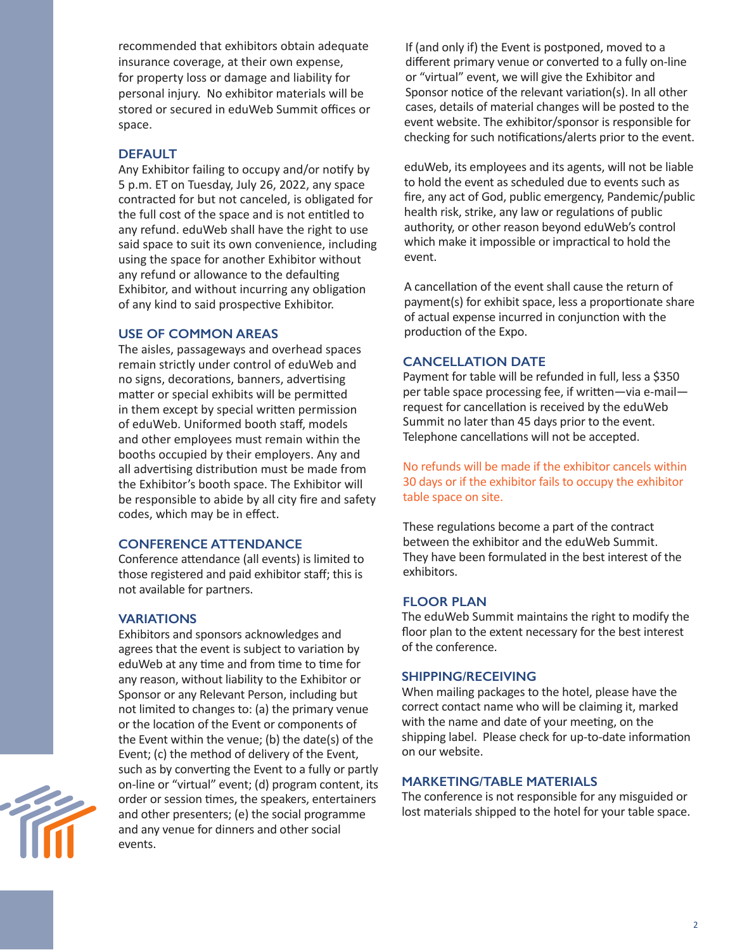recommended that exhibitors obtain adequate insurance coverage, at their own expense, for property loss or damage and liability for personal injury. No exhibitor materials will be stored or secured in eduWeb Summit offices or space.

# **DEFAULT**

Any Exhibitor failing to occupy and/or notify by 5 p.m. ET on Tuesday, July 26, 2022, any space contracted for but not canceled, is obligated for the full cost of the space and is not entitled to any refund. eduWeb shall have the right to use said space to suit its own convenience, including using the space for another Exhibitor without any refund or allowance to the defaulting Exhibitor, and without incurring any obligation of any kind to said prospective Exhibitor.

## **USE OF COMMON AREAS**

The aisles, passageways and overhead spaces remain strictly under control of eduWeb and no signs, decorations, banners, advertising matter or special exhibits will be permitted in them except by special written permission of eduWeb. Uniformed booth staff, models and other employees must remain within the booths occupied by their employers. Any and all advertising distribution must be made from the Exhibitor's booth space. The Exhibitor will be responsible to abide by all city fire and safety codes, which may be in effect.

# **CONFERENCE ATTENDANCE**

Conference attendance (all events) is limited to those registered and paid exhibitor staff; this is not available for partners.

## **VARIATIONS**

Exhibitors and sponsors acknowledges and agrees that the event is subject to variation by eduWeb at any time and from time to time for any reason, without liability to the Exhibitor or Sponsor or any Relevant Person, including but not limited to changes to: (a) the primary venue or the location of the Event or components of the Event within the venue; (b) the date(s) of the Event; (c) the method of delivery of the Event, such as by converting the Event to a fully or partly on-line or "virtual" event; (d) program content, its order or session times, the speakers, entertainers and other presenters; (e) the social programme and any venue for dinners and other social events.

If (and only if) the Event is postponed, moved to a different primary venue or converted to a fully on-line or "virtual" event, we will give the Exhibitor and Sponsor notice of the relevant variation(s). In all other cases, details of material changes will be posted to the event website. The exhibitor/sponsor is responsible for checking for such notifications/alerts prior to the event.

eduWeb, its employees and its agents, will not be liable to hold the event as scheduled due to events such as fire, any act of God, public emergency, Pandemic/public health risk, strike, any law or regulations of public authority, or other reason beyond eduWeb's control which make it impossible or impractical to hold the event.

A cancellation of the event shall cause the return of payment(s) for exhibit space, less a proportionate share of actual expense incurred in conjunction with the production of the Expo.

#### **CANCELLATION DATE**

Payment for table will be refunded in full, less a \$350 per table space processing fee, if written—via e-mail request for cancellation is received by the eduWeb Summit no later than 45 days prior to the event. Telephone cancellations will not be accepted.

No refunds will be made if the exhibitor cancels within 30 days or if the exhibitor fails to occupy the exhibitor table space on site.

These regulations become a part of the contract between the exhibitor and the eduWeb Summit. They have been formulated in the best interest of the exhibitors.

#### **FLOOR PLAN**

The eduWeb Summit maintains the right to modify the floor plan to the extent necessary for the best interest of the conference.

## **SHIPPING/RECEIVING**

When mailing packages to the hotel, please have the correct contact name who will be claiming it, marked with the name and date of your meeting, on the shipping label. Please check for up-to-date information on our website.

#### **MARKETING/TABLE MATERIALS**

The conference is not responsible for any misguided or lost materials shipped to the hotel for your table space.

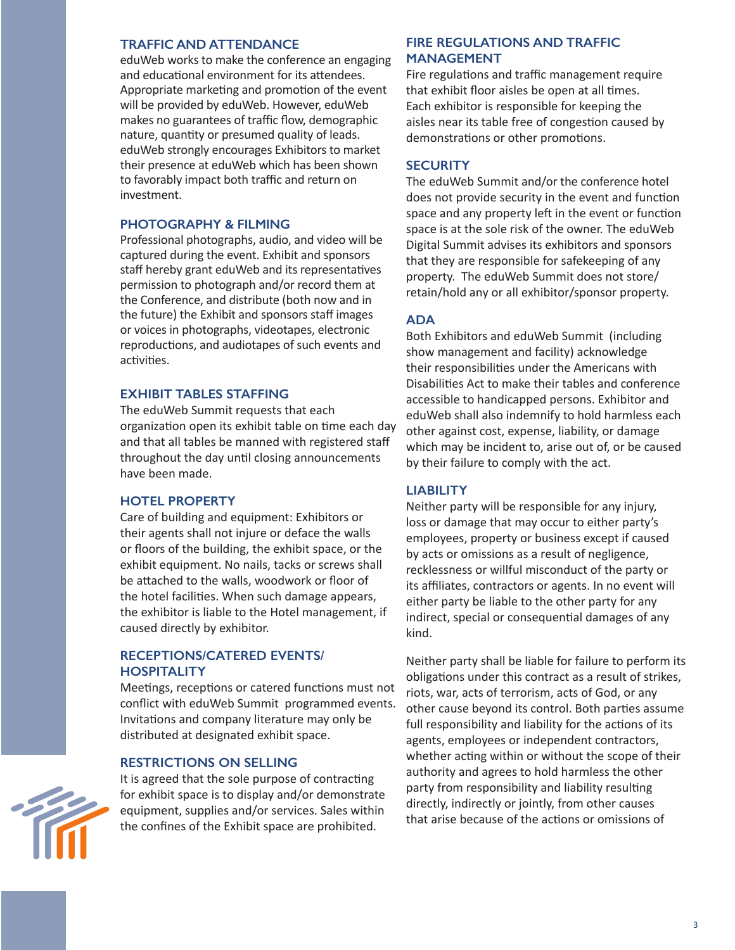#### **TRAFFIC AND ATTENDANCE**

eduWeb works to make the conference an engaging and educational environment for its attendees. Appropriate marketing and promotion of the event will be provided by eduWeb. However, eduWeb makes no guarantees of traffic flow, demographic nature, quantity or presumed quality of leads. eduWeb strongly encourages Exhibitors to market their presence at eduWeb which has been shown to favorably impact both traffic and return on investment.

## **PHOTOGRAPHY & FILMING**

Professional photographs, audio, and video will be captured during the event. Exhibit and sponsors staff hereby grant eduWeb and its representatives permission to photograph and/or record them at the Conference, and distribute (both now and in the future) the Exhibit and sponsors staff images or voices in photographs, videotapes, electronic reproductions, and audiotapes of such events and activities.

#### **EXHIBIT TABLES STAFFING**

The eduWeb Summit requests that each organization open its exhibit table on time each day and that all tables be manned with registered staff throughout the day until closing announcements have been made.

## **HOTEL PROPERTY**

Care of building and equipment: Exhibitors or their agents shall not injure or deface the walls or floors of the building, the exhibit space, or the exhibit equipment. No nails, tacks or screws shall be attached to the walls, woodwork or floor of the hotel facilities. When such damage appears, the exhibitor is liable to the Hotel management, if caused directly by exhibitor.

## **RECEPTIONS/CATERED EVENTS/ HOSPITALITY**

Meetings, receptions or catered functions must not conflict with eduWeb Summit programmed events. Invitations and company literature may only be distributed at designated exhibit space.

#### **RESTRICTIONS ON SELLING**



It is agreed that the sole purpose of contracting for exhibit space is to display and/or demonstrate equipment, supplies and/or services. Sales within the confines of the Exhibit space are prohibited.

# **FIRE REGULATIONS AND TRAFFIC MANAGEMENT**

Fire regulations and traffic management require that exhibit floor aisles be open at all times. Each exhibitor is responsible for keeping the aisles near its table free of congestion caused by demonstrations or other promotions.

#### **SECURITY**

The eduWeb Summit and/or the conference hotel does not provide security in the event and function space and any property left in the event or function space is at the sole risk of the owner. The eduWeb Digital Summit advises its exhibitors and sponsors that they are responsible for safekeeping of any property. The eduWeb Summit does not store/ retain/hold any or all exhibitor/sponsor property.

# **ADA**

Both Exhibitors and eduWeb Summit (including show management and facility) acknowledge their responsibilities under the Americans with Disabilities Act to make their tables and conference accessible to handicapped persons. Exhibitor and eduWeb shall also indemnify to hold harmless each other against cost, expense, liability, or damage which may be incident to, arise out of, or be caused by their failure to comply with the act.

## **LIABILITY**

Neither party will be responsible for any injury, loss or damage that may occur to either party's employees, property or business except if caused by acts or omissions as a result of negligence, recklessness or willful misconduct of the party or its affiliates, contractors or agents. In no event will either party be liable to the other party for any indirect, special or consequential damages of any kind.

Neither party shall be liable for failure to perform its obligations under this contract as a result of strikes, riots, war, acts of terrorism, acts of God, or any other cause beyond its control. Both parties assume full responsibility and liability for the actions of its agents, employees or independent contractors, whether acting within or without the scope of their authority and agrees to hold harmless the other party from responsibility and liability resulting directly, indirectly or jointly, from other causes that arise because of the actions or omissions of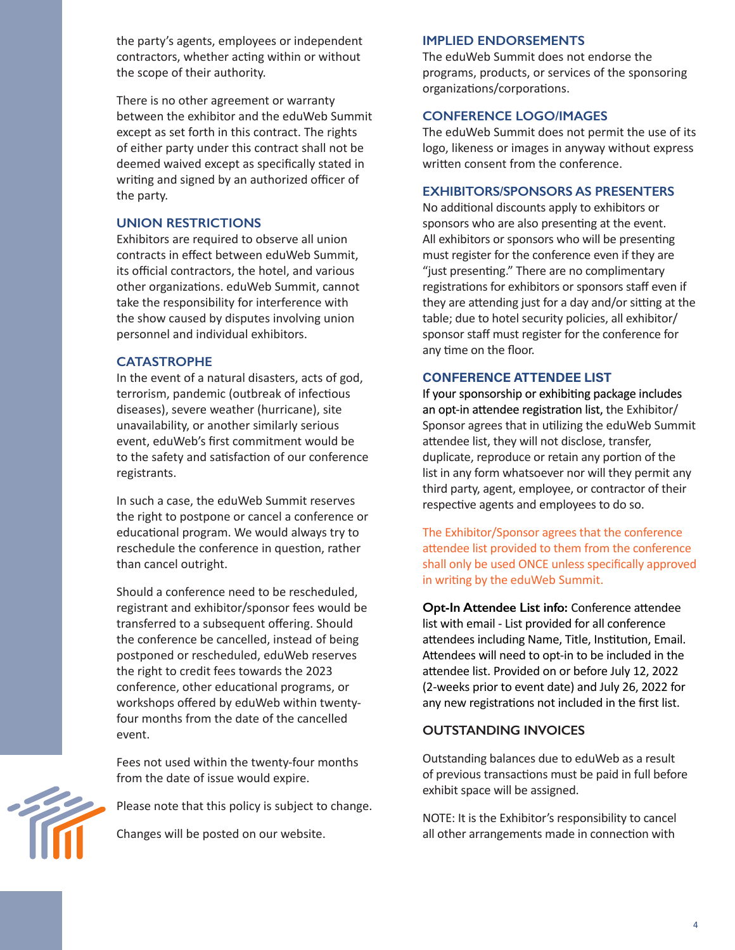the party's agents, employees or independent contractors, whether acting within or without the scope of their authority.

There is no other agreement or warranty between the exhibitor and the eduWeb Summit except as set forth in this contract. The rights of either party under this contract shall not be deemed waived except as specifically stated in writing and signed by an authorized officer of the party.

## **UNION RESTRICTIONS**

Exhibitors are required to observe all union contracts in effect between eduWeb Summit, its official contractors, the hotel, and various other organizations. eduWeb Summit, cannot take the responsibility for interference with the show caused by disputes involving union personnel and individual exhibitors.

## **CATASTROPHE**

In the event of a natural disasters, acts of god, terrorism, pandemic (outbreak of infectious diseases), severe weather (hurricane), site unavailability, or another similarly serious event, eduWeb's first commitment would be to the safety and satisfaction of our conference registrants.

In such a case, the eduWeb Summit reserves the right to postpone or cancel a conference or educational program. We would always try to reschedule the conference in question, rather than cancel outright.

Should a conference need to be rescheduled, registrant and exhibitor/sponsor fees would be transferred to a subsequent offering. Should the conference be cancelled, instead of being postponed or rescheduled, eduWeb reserves the right to credit fees towards the 2023 conference, other educational programs, or workshops offered by eduWeb within twentyfour months from the date of the cancelled event.

Fees not used within the twenty-four months from the date of issue would expire.



Please note that this policy is subject to change.

Changes will be posted on our website.

## **IMPLIED ENDORSEMENTS**

The eduWeb Summit does not endorse the programs, products, or services of the sponsoring organizations/corporations.

#### **CONFERENCE LOGO/IMAGES**

The eduWeb Summit does not permit the use of its logo, likeness or images in anyway without express written consent from the conference.

### **EXHIBITORS/SPONSORS AS PRESENTERS**

No additional discounts apply to exhibitors or sponsors who are also presenting at the event. All exhibitors or sponsors who will be presenting must register for the conference even if they are "just presenting." There are no complimentary registrations for exhibitors or sponsors staff even if they are attending just for a day and/or sitting at the table; due to hotel security policies, all exhibitor/ sponsor staff must register for the conference for any time on the floor.

#### CONFERENCE ATTENDEE LIST

If your sponsorship or exhibiting package includes an opt-in attendee registration list, the Exhibitor/ Sponsor agrees that in utilizing the eduWeb Summit attendee list, they will not disclose, transfer, duplicate, reproduce or retain any portion of the list in any form whatsoever nor will they permit any third party, agent, employee, or contractor of their respective agents and employees to do so.

The Exhibitor/Sponsor agrees that the conference attendee list provided to them from the conference shall only be used ONCE unless specifically approved in writing by the eduWeb Summit.

**Opt-In Attendee List info:** Conference attendee list with email - List provided for all conference attendees including Name, Title, Institution, Email. Attendees will need to opt-in to be included in the attendee list. Provided on or before July 12, 2022 (2-weeks prior to event date) and July 26, 2022 for any new registrations not included in the first list.

## **OUTSTANDING INVOICES**

Outstanding balances due to eduWeb as a result of previous transactions must be paid in full before exhibit space will be assigned.

NOTE: It is the Exhibitor's responsibility to cancel all other arrangements made in connection with